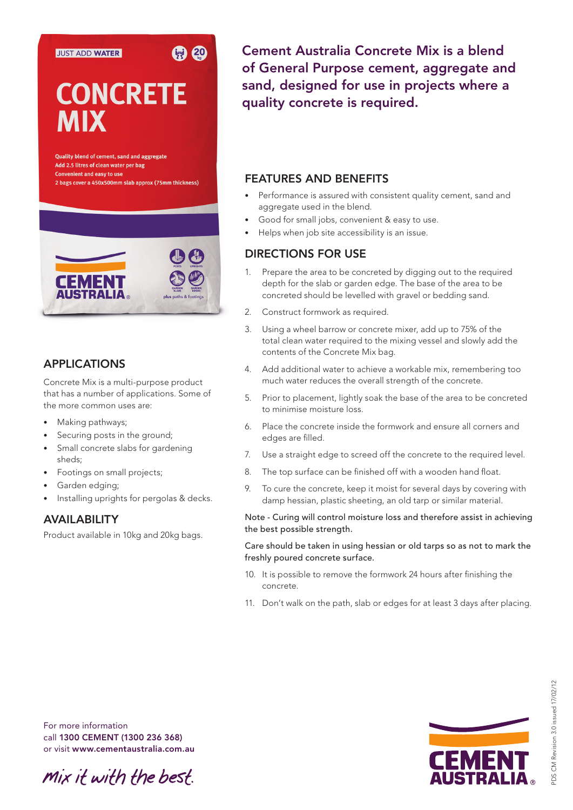## **JUST ADD WATER**

# **CONCRETE MIX**

图 20

Quality blend of cement, sand and aggregate Add 2.5 litres of clean water per bag **Convenient and easy to use** 2 bags cover a 450x500mm slab approx (75mm thickness)



## APPLICATIONS

Concrete Mix is a multi-purpose product that has a number of applications. Some of the more common uses are:

- Making pathways;
- Securing posts in the ground;
- Small concrete slabs for gardening sheds;
- Footings on small projects;
- Garden edging;
- Installing uprights for pergolas & decks.

## AVAILABILITY

Product available in 10kg and 20kg bags.

Cement Australia Concrete Mix is a blend of General Purpose cement, aggregate and sand, designed for use in projects where a quality concrete is required.

## FEATURES AND BENEFITS

- Performance is assured with consistent quality cement, sand and aggregate used in the blend.
- • Good for small jobs, convenient & easy to use.
- Helps when job site accessibility is an issue.

## DIRECTIONS FOR USE

- Prepare the area to be concreted by digging out to the required depth for the slab or garden edge. The base of the area to be concreted should be levelled with gravel or bedding sand.
- 2. Construct formwork as required.
- 3. Using a wheel barrow or concrete mixer, add up to 75% of the total clean water required to the mixing vessel and slowly add the contents of the Concrete Mix bag.
- 4. Add additional water to achieve a workable mix, remembering too much water reduces the overall strength of the concrete.
- 5. Prior to placement, lightly soak the base of the area to be concreted to minimise moisture loss.
- 6. Place the concrete inside the formwork and ensure all corners and edges are filled.
- 7. Use a straight edge to screed off the concrete to the required level.
- 8. The top surface can be finished off with a wooden hand float.
- 9. To cure the concrete, keep it moist for several days by covering with damp hessian, plastic sheeting, an old tarp or similar material.

#### Note - Curing will control moisture loss and therefore assist in achieving the best possible strength.

#### Care should be taken in using hessian or old tarps so as not to mark the freshly poured concrete surface.

- 10. It is possible to remove the formwork 24 hours after finishing the concrete.
- 11. Don't walk on the path, slab or edges for at least 3 days after placing.

For more information call 1300 CEMENT (1300 236 368) or visit www.cementaustralia.com.au